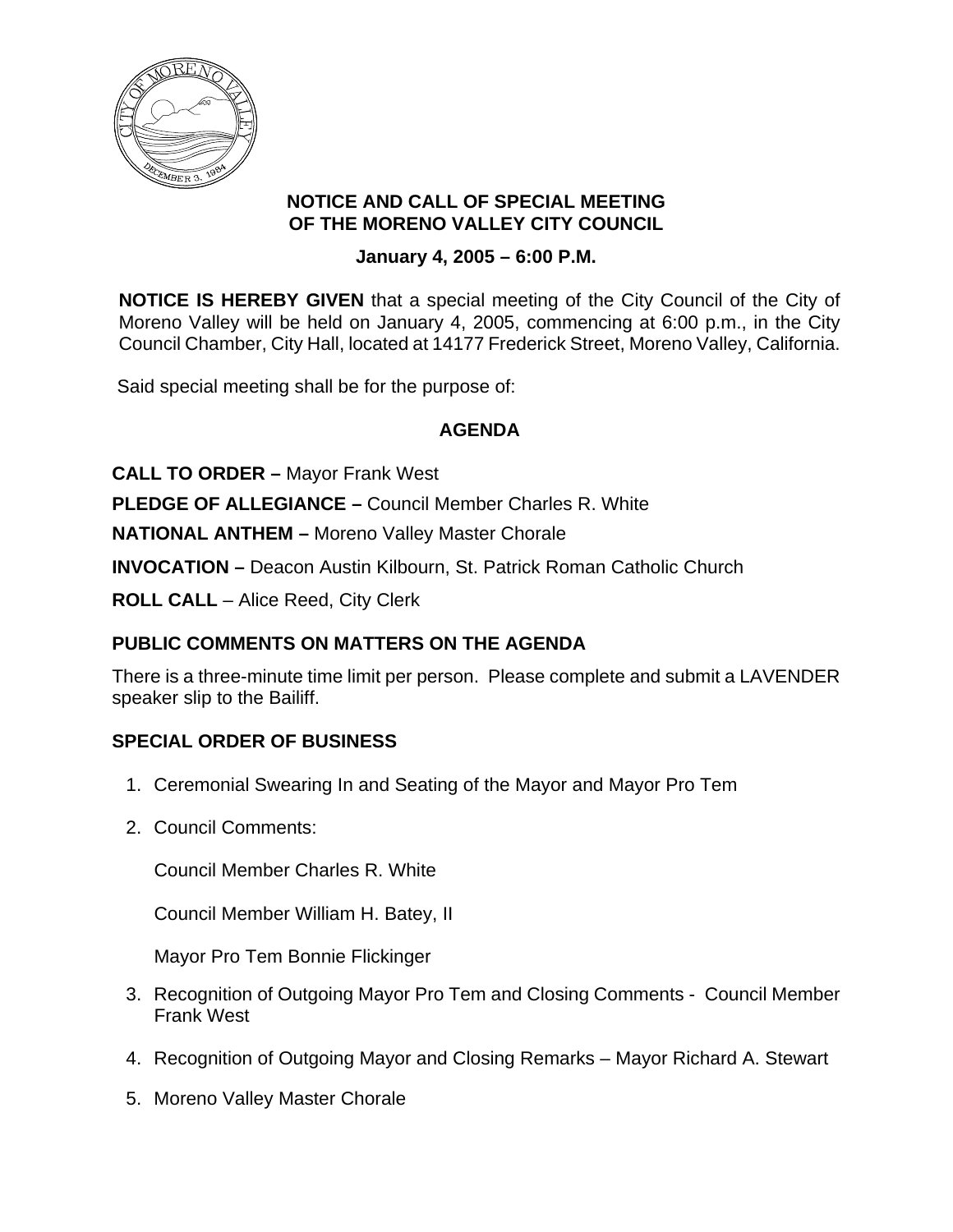

#### **NOTICE AND CALL OF SPECIAL MEETING OF THE MORENO VALLEY CITY COUNCIL**

### **January 4, 2005 – 6:00 P.M.**

**NOTICE IS HEREBY GIVEN** that a special meeting of the City Council of the City of Moreno Valley will be held on January 4, 2005, commencing at 6:00 p.m., in the City Council Chamber, City Hall, located at 14177 Frederick Street, Moreno Valley, California.

Said special meeting shall be for the purpose of:

## **AGENDA**

**CALL TO ORDER –** Mayor Frank West

**PLEDGE OF ALLEGIANCE –** Council Member Charles R. White

**NATIONAL ANTHEM –** Moreno Valley Master Chorale

**INVOCATION –** Deacon Austin Kilbourn, St. Patrick Roman Catholic Church

**ROLL CALL** – Alice Reed, City Clerk

## **PUBLIC COMMENTS ON MATTERS ON THE AGENDA**

There is a three-minute time limit per person. Please complete and submit a LAVENDER speaker slip to the Bailiff.

### **SPECIAL ORDER OF BUSINESS**

- 1. Ceremonial Swearing In and Seating of the Mayor and Mayor Pro Tem
- 2. Council Comments:

Council Member Charles R. White

Council Member William H. Batey, II

Mayor Pro Tem Bonnie Flickinger

- 3. Recognition of Outgoing Mayor Pro Tem and Closing Comments Council Member Frank West
- 4. Recognition of Outgoing Mayor and Closing Remarks Mayor Richard A. Stewart
- 5. Moreno Valley Master Chorale